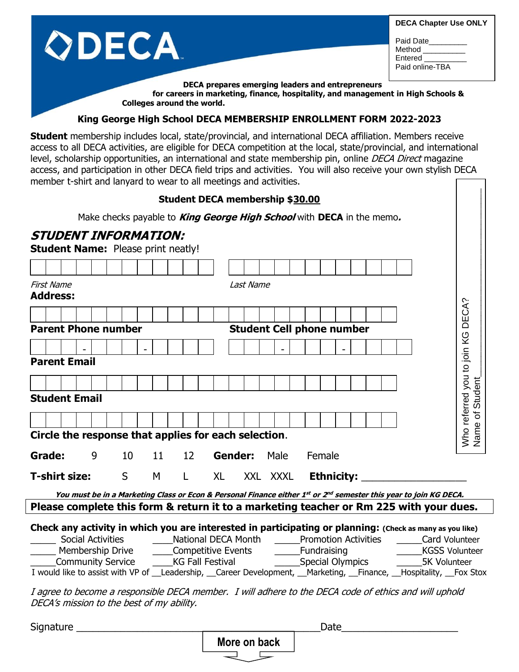|                                                                                                                                                                    | <b>DECA Chapter Use ONLY</b>                      |
|--------------------------------------------------------------------------------------------------------------------------------------------------------------------|---------------------------------------------------|
|                                                                                                                                                                    | Paid Date<br>Method<br>Entered<br>Paid online-TBA |
| DECA prepares emerging leaders and entrepreneurs<br>for careers in marketing, finance, hospitality, and management in High Schools &<br>Colleges around the world. |                                                   |

## **King George High School DECA MEMBERSHIP ENROLLMENT FORM 2022-2023**

**Student** membership includes local, state/provincial, and international DECA affiliation. Members receive access to all DECA activities, are eligible for DECA competition at the local, state/provincial, and international level, scholarship opportunities, an international and state membership pin, online DECA Direct magazine access, and participation in other DECA field trips and activities. You will also receive your own stylish DECA member t-shirt and lanyard to wear to all meetings and activities.

## **Student DECA membership \$30.00**

## **STUDENT INFORMATION:**

| Student DECA membership \$30.00                                                                                                                                                                              |                                                                                        |  |  |  |
|--------------------------------------------------------------------------------------------------------------------------------------------------------------------------------------------------------------|----------------------------------------------------------------------------------------|--|--|--|
| Make checks payable to <i>King George High School</i> with DECA in the memo.                                                                                                                                 |                                                                                        |  |  |  |
| <b>STUDENT INFORMATION:</b><br><b>Student Name: Please print neatly!</b>                                                                                                                                     |                                                                                        |  |  |  |
|                                                                                                                                                                                                              |                                                                                        |  |  |  |
| <b>First Name</b><br><b>Address:</b>                                                                                                                                                                         | Last Name                                                                              |  |  |  |
|                                                                                                                                                                                                              | DECA?                                                                                  |  |  |  |
| <b>Parent Phone number</b>                                                                                                                                                                                   | <b>Student Cell phone number</b>                                                       |  |  |  |
|                                                                                                                                                                                                              |                                                                                        |  |  |  |
| <b>Parent Email</b>                                                                                                                                                                                          | Who referred you to join KG                                                            |  |  |  |
|                                                                                                                                                                                                              |                                                                                        |  |  |  |
| <b>Student Email</b>                                                                                                                                                                                         | Name of Student                                                                        |  |  |  |
|                                                                                                                                                                                                              |                                                                                        |  |  |  |
| Circle the response that applies for each selection.                                                                                                                                                         |                                                                                        |  |  |  |
| 10<br>Grade:<br>9<br>11<br>12<br><b>Gender:</b>                                                                                                                                                              | Male<br>Female                                                                         |  |  |  |
| <b>T-shirt size:</b><br>S<br>М<br><b>XL</b><br>L.                                                                                                                                                            | <b>Ethnicity:</b><br>XXL XXXL                                                          |  |  |  |
| You must be in a Marketing Class or Econ & Personal Finance either 1st or 2nd semester this year to join KG DECA.                                                                                            |                                                                                        |  |  |  |
|                                                                                                                                                                                                              | Please complete this form & return it to a marketing teacher or Rm 225 with your dues. |  |  |  |
| Check any activity in which you are interested in participating or planning: (Check as many as you like)<br><b>Social Activities</b><br>National DECA Month<br><b>Promotion Activities</b><br>Card Volunteer |                                                                                        |  |  |  |
| Membership Drive<br>____Competitive Events                                                                                                                                                                   | _______Fundraising<br><b>KGSS Volunteer</b>                                            |  |  |  |
| Community Service<br><b>KG Fall Festival</b>                                                                                                                                                                 | Special Olympics<br><b>5K Volunteer</b>                                                |  |  |  |

I would like to assist with VP of \_\_Leadership, \_\_Career Development, \_\_Marketing, \_\_Finance, \_\_Hospitality, \_\_Fox Stox

I agree to become a responsible DECA member. I will adhere to the DECA code of ethics and will uphold DECA's mission to the best of my ability.

| Signature |              | Date |  |  |
|-----------|--------------|------|--|--|
|           | More on back |      |  |  |
|           |              |      |  |  |